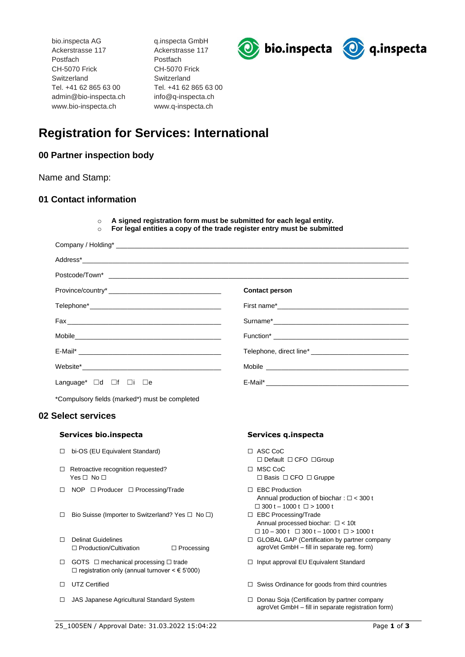bio.inspecta AG Ackerstrasse 117 Postfach CH-5070 Frick **Switzerland** Tel. +41 62 865 63 00 admin@bio-inspecta.ch www.bio-inspecta.ch

q.inspecta GmbH Ackerstrasse 117 Postfach CH-5070 Frick **Switzerland** Tel. +41 62 865 63 00 info@q-inspecta.ch www.q-inspecta.ch





# **Registration for Services: International**

# **00 Partner inspection body**

Name and Stamp:

# **01 Contact information**

- o **A signed registration form must be submitted for each legal entity.**
- o **For legal entities a copy of the trade register entry must be submitted**

|                       | <b>Contact person</b> |
|-----------------------|-----------------------|
|                       |                       |
|                       |                       |
|                       |                       |
|                       |                       |
|                       |                       |
| Language* □d □f □i □e |                       |
|                       |                       |

\*Compulsory fields (marked\*) must be completed

## **02 Select services**

### **Services bio.inspecta Services q.inspecta**

- ☐ bi-OS (EU Equivalent Standard) ☐ ASC CoC
- ☐ Retroactive recognition requested? Yes □ No □
- ☐ NOP ☐ Producer ☐ Processing/Trade ☐ EBC Production
- ☐ Bio Suisse (Importer to Switzerland? Yes ☐ No ☐) ☐ EBC Processing/Trade
- ☐ Delinat Guidelines ☐ Production/Cultivation ☐ Processing
- ☐ GOTS ☐ mechanical processing ☐ trade  $\Box$  registration only (annual turnover <  $\in$  5'000)
- ☐ UTZ Certified
- ☐ JAS Japanese Agricultural Standard System

- ☐ Default ☐ CFO ☐Group
- ☐ MSC CoC ☐ Basis ☐ CFO ☐ Gruppe
- Annual production of biochar : ☐ < 300 t  $\Box$  300 t – 1000 t  $\Box$  > 1000 t
- Annual processed biochar: ☐ < 10t  $\Box$  10 – 300 t  $\Box$  300 t – 1000 t  $\Box$  > 1000 t
- ☐ GLOBAL GAP (Certification by partner company agroVet GmbH – fill in separate reg. form)
- ☐ Input approval EU Equivalent Standard
- ☐ Swiss Ordinance for goods from third countries
- ☐ Donau Soja (Certification by partner company agroVet GmbH – fill in separate registration form)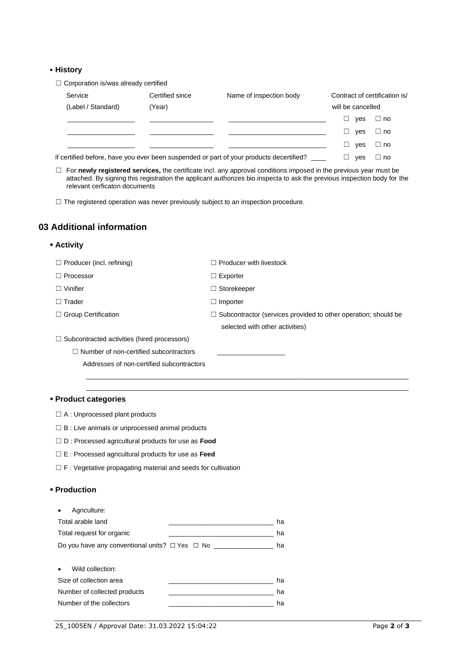### ▪ **History**

☐ Corporation is/was already certified

| Service            | Certified since | Name of inspection body                                                                 | Contract of certification is/      |
|--------------------|-----------------|-----------------------------------------------------------------------------------------|------------------------------------|
| (Label / Standard) | (Year)          |                                                                                         | will be cancelled                  |
|                    |                 |                                                                                         | $\sqcup$ no<br>$\perp$<br>ves      |
|                    |                 |                                                                                         | $\Box$<br>$\sqcup$ no<br>ves       |
|                    |                 |                                                                                         | $\mathsf{L}$<br>$\sqcup$ no<br>ves |
|                    |                 | if certified before, have you ever been suspended or part of your products decertified? | $\Box$ no<br>yes                   |

☐ For **newly registered services,** the certificate incl. any approval conditions imposed in the previous year must be attached. By signing this registration the applicant authorizes bio.inspecta to ask the previous inspection body for the relevant cerficaton documents

□ The registered operation was never previously subject to an inspection procedure.

# **03 Additional information**

▪ **Activity**

| . ,                                                |                                                                       |
|----------------------------------------------------|-----------------------------------------------------------------------|
| Producer (incl. refining)<br>$\Box$                | $\Box$ Producer with livestock                                        |
| Processor                                          | $\Box$ Exporter                                                       |
| Vinifier                                           | $\Box$ Storekeeper                                                    |
| Trader                                             | $\Box$ Importer                                                       |
| $\Box$ Group Certification                         | $\Box$ Subcontractor (services provided to other operation; should be |
|                                                    | selected with other activities)                                       |
| $\Box$ Subcontracted activities (hired processors) |                                                                       |
| Number of non-certified subcontractors             |                                                                       |
| Addresses of non-certified subcontractors          |                                                                       |
|                                                    |                                                                       |
|                                                    |                                                                       |

# ▪ **Product categories**

- □ A : Unprocessed plant products
- ☐ B : Live animals or unprocessed animal products
- ☐ D : Processed agricultural products for use as **Food**
- ☐ E : Processed agricultural products for use as **Feed**
- ☐ F : Vegetative propagating material and seeds for cultivation

### ▪ **Production**

| Agriculture:                                             |    |  |
|----------------------------------------------------------|----|--|
| Total arable land                                        | ha |  |
| Total request for organic                                | ha |  |
| Do you have any conventional units? $\Box$ Yes $\Box$ No | ha |  |
|                                                          |    |  |
| Wild collection:                                         |    |  |
| Size of collection area                                  | ha |  |
| Number of collected products                             | ha |  |
| Number of the collectors                                 | ha |  |